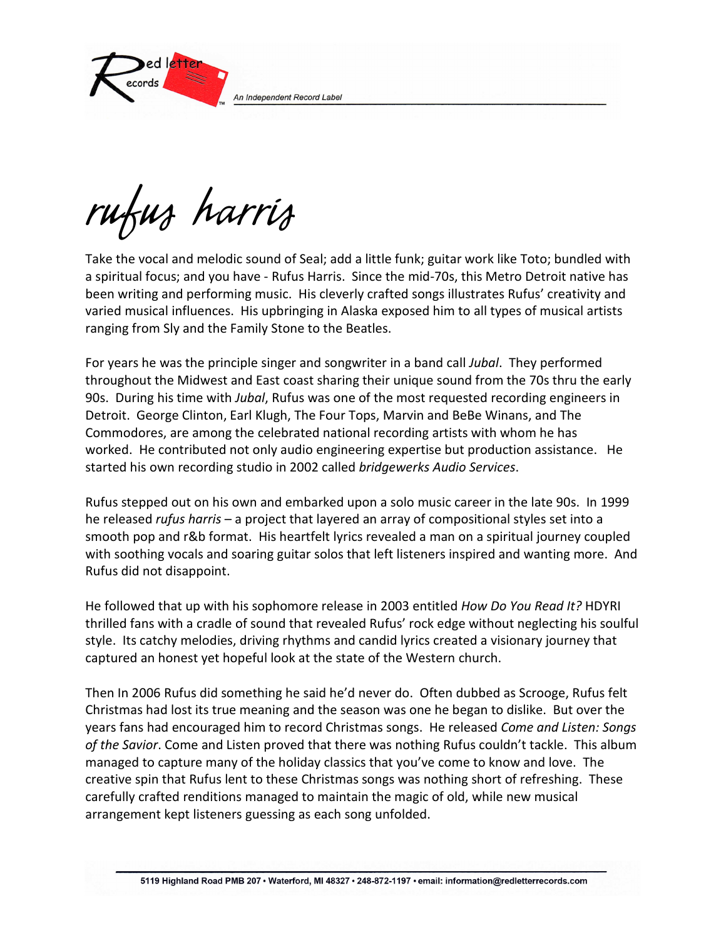An Independent Record Label



rufus harris

Take the vocal and melodic sound of Seal; add a little funk; guitar work like Toto; bundled with a spiritual focus; and you have - Rufus Harris. Since the mid-70s, this Metro Detroit native has been writing and performing music. His cleverly crafted songs illustrates Rufus' creativity and varied musical influences. His upbringing in Alaska exposed him to all types of musical artists ranging from Sly and the Family Stone to the Beatles.

For years he was the principle singer and songwriter in a band call Jubal. They performed throughout the Midwest and East coast sharing their unique sound from the 70s thru the early 90s. During his time with *Jubal*, Rufus was one of the most requested recording engineers in Detroit. George Clinton, Earl Klugh, The Four Tops, Marvin and BeBe Winans, and The Commodores, are among the celebrated national recording artists with whom he has worked. He contributed not only audio engineering expertise but production assistance. He started his own recording studio in 2002 called bridgewerks Audio Services.

Rufus stepped out on his own and embarked upon a solo music career in the late 90s. In 1999 he released *rufus harris* – a project that layered an array of compositional styles set into a smooth pop and r&b format. His heartfelt lyrics revealed a man on a spiritual journey coupled with soothing vocals and soaring guitar solos that left listeners inspired and wanting more. And Rufus did not disappoint.

He followed that up with his sophomore release in 2003 entitled How Do You Read It? HDYRI thrilled fans with a cradle of sound that revealed Rufus' rock edge without neglecting his soulful style. Its catchy melodies, driving rhythms and candid lyrics created a visionary journey that captured an honest yet hopeful look at the state of the Western church.

Then In 2006 Rufus did something he said he'd never do. Often dubbed as Scrooge, Rufus felt Christmas had lost its true meaning and the season was one he began to dislike. But over the years fans had encouraged him to record Christmas songs. He released Come and Listen: Songs of the Savior. Come and Listen proved that there was nothing Rufus couldn't tackle. This album managed to capture many of the holiday classics that you've come to know and love. The creative spin that Rufus lent to these Christmas songs was nothing short of refreshing. These carefully crafted renditions managed to maintain the magic of old, while new musical arrangement kept listeners guessing as each song unfolded.